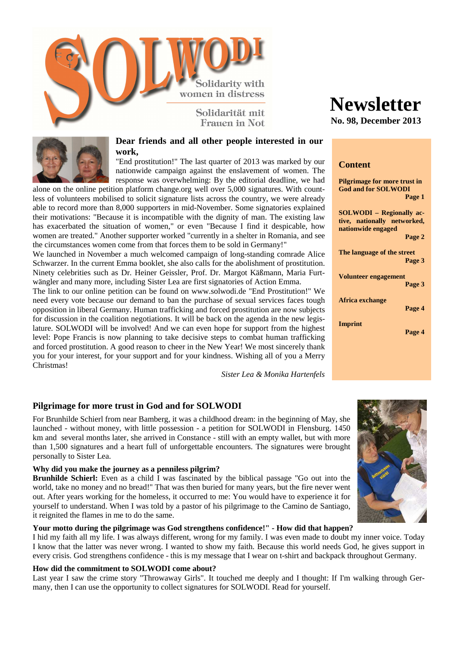

Franen in Not.



### **Dear friends and all other people interested in our work,**

"End prostitution!" The last quarter of 2013 was marked by our nationwide campaign against the enslavement of women. The response was overwhelming: By the editorial deadline, we had

alone on the online petition platform change.org well over 5,000 signatures. With countless of volunteers mobilised to solicit signature lists across the country, we were already able to record more than 8,000 supporters in mid-November. Some signatories explained their motivations: "Because it is incompatible with the dignity of man. The existing law has exacerbated the situation of women," or even "Because I find it despicable, how women are treated." Another supporter worked "currently in a shelter in Romania, and see the circumstances women come from that forces them to be sold in Germany!"

We launched in November a much welcomed campaign of long-standing comrade Alice Schwarzer. In the current Emma booklet, she also calls for the abolishment of prostitution. Ninety celebrities such as Dr. Heiner Geissler, Prof. Dr. Margot Käßmann, Maria Furtwängler and many more, including Sister Lea are first signatories of Action Emma.

The link to our online petition can be found on www.solwodi.de "End Prostitution!" We need every vote because our demand to ban the purchase of sexual services faces tough opposition in liberal Germany. Human trafficking and forced prostitution are now subjects for discussion in the coalition negotiations. It will be back on the agenda in the new legislature. SOLWODI will be involved! And we can even hope for support from the highest level: Pope Francis is now planning to take decisive steps to combat human trafficking and forced prostitution. A good reason to cheer in the New Year! We most sincerely thank you for your interest, for your support and for your kindness. Wishing all of you a Merry Christmas!

*Sister Lea & Monika Hartenfels*

# **Newsletter**

**No. 98, December 2013**

# **Content**

| <b>Pilgrimage for more trust in</b><br><b>God and for SOLWODI</b><br>Page 1          |
|--------------------------------------------------------------------------------------|
|                                                                                      |
| <b>SOLWODI</b> - Regionally ac-<br>tive, nationally networked,<br>nationwide engaged |
| Page 2                                                                               |
| The language of the street<br>Page 3                                                 |
| Volunteer engagement                                                                 |
| Page 3                                                                               |
| Africa exchange<br>Page 4                                                            |
| Imprint<br>Page 4                                                                    |
|                                                                                      |

## **Pilgrimage for more trust in God and for SOLWODI**

For Brunhilde Schierl from near Bamberg, it was a childhood dream: in the beginning of May, she launched - without money, with little possession - a petition for SOLWODI in Flensburg. 1450 km and several months later, she arrived in Constance - still with an empty wallet, but with more than 1,500 signatures and a heart full of unforgettable encounters. The signatures were brought personally to Sister Lea.

#### **Why did you make the journey as a penniless pilgrim?**

**Brunhilde Schierl:** Even as a child I was fascinated by the biblical passage "Go out into the world, take no money and no bread!" That was then buried for many years, but the fire never went out. After years working for the homeless, it occurred to me: You would have to experience it for yourself to understand. When I was told by a pastor of his pilgrimage to the Camino de Santiago, it reignited the flames in me to do the same.

#### **Your motto during the pilgrimage was God strengthens confidence!" - How did that happen?**

I hid my faith all my life. I was always different, wrong for my family. I was even made to doubt my inner voice. Today I know that the latter was never wrong. I wanted to show my faith. Because this world needs God, he gives support in every crisis. God strengthens confidence - this is my message that I wear on t-shirt and backpack throughout Germany.

#### **How did the commitment to SOLWODI come about?**

Last year I saw the crime story "Throwaway Girls". It touched me deeply and I thought: If I'm walking through Germany, then I can use the opportunity to collect signatures for SOLWODI. Read for yourself.

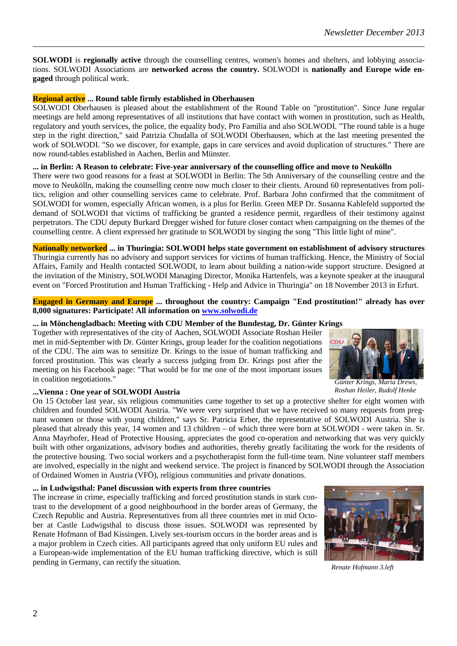**SOLWODI** is **regionally active** through the counselling centres, women's homes and shelters, and lobbying associations. SOLWODI Associations are **networked across the country.** SOLWODI is **nationally and Europe wide engaged** through political work.

*\_\_\_\_\_\_\_\_\_\_\_\_\_\_\_\_\_\_\_\_\_\_\_\_\_\_\_\_\_\_\_\_\_\_\_\_\_\_\_\_\_\_\_\_\_\_\_\_\_\_\_\_\_\_\_\_\_\_\_\_\_\_\_\_\_\_\_\_\_\_\_\_\_\_\_\_\_\_\_\_\_\_\_\_\_* 

## **Regional active ... Round table firmly established in Oberhausen**

SOLWODI Oberhausen is pleased about the establishment of the Round Table on "prostitution". Since June regular meetings are held among representatives of all institutions that have contact with women in prostitution, such as Health, regulatory and youth services, the police, the equality body, Pro Familia and also SOLWODI. "The round table is a huge step in the right direction," said Patrizia Chudalla of SOLWODI Oberhausen, which at the last meeting presented the work of SOLWODI. "So we discover, for example, gaps in care services and avoid duplication of structures." There are now round-tables established in Aachen, Berlin and Münster.

### **... in Berlin: A Reason to celebrate: Five-year anniversary of the counselling office and move to Neukölln**

There were two good reasons for a feast at SOLWODI in Berlin: The 5th Anniversary of the counselling centre and the move to Neukölln, making the counselling centre now much closer to their clients. Around 60 representatives from politics, religion and other counselling services came to celebrate. Prof. Barbara John confirmed that the commitment of SOLWODI for women, especially African women, is a plus for Berlin. Green MEP Dr. Susanna Kahlefeld supported the demand of SOLWODI that victims of trafficking be granted a residence permit, regardless of their testimony against perpetrators. The CDU deputy Burkard Dregger wished for future closer contact when campaigning on the themes of the counselling centre. A client expressed her gratitude to SOLWODI by singing the song "This little light of mine".

**Nationally networked ... in Thuringia: SOLWODI helps state government on establishment of advisory structures**  Thuringia currently has no advisory and support services for victims of human trafficking. Hence, the Ministry of Social Affairs, Family and Health contacted SOLWODI, to learn about building a nation-wide support structure. Designed at the invitation of the Ministry, SOLWODI Managing Director, Monika Hartenfels, was a keynote speaker at the inaugural event on "Forced Prostitution and Human Trafficking - Help and Advice in Thuringia" on 18 November 2013 in Erfurt.

### **Engaged in Germany and Europe ... throughout the country: Campaign "End prostitution!" already has over 8,000 signatures: Participate! All information on www.solwodi.de**

## **... in Mönchengladbach: Meeting with CDU Member of the Bundestag, Dr. Günter Krings**

Together with representatives of the city of Aachen, SOLWODI Associate Roshan Heiler met in mid-September with Dr. Günter Krings, group leader for the coalition negotiations of the CDU. The aim was to sensitize Dr. Krings to the issue of human trafficking and forced prostitution. This was clearly a success judging from Dr. Krings post after the meeting on his Facebook page: "That would be for me one of the most important issues in coalition negotiations."



*Günter Krings, Maria Drews, Roshan Heiler, Rudolf Henke* 

## **...Vienna : One year of SOLWODI Austria**

On 15 October last year, six religious communities came together to set up a protective shelter for eight women with children and founded SOLWODI Austria. "We were very surprised that we have received so many requests from pregnant women or those with young children," says Sr. Patricia Erber, the representative of SOLWODI Austria. She is pleased that already this year, 14 women and 13 children – of which three were born at SOLWODI - were taken in. Sr. Anna Mayrhofer, Head of Protective Housing, appreciates the good co-operation and networking that was very quickly built with other organizations, advisory bodies and authorities, thereby greatly facilitating the work for the residents of the protective housing. Two social workers and a psychotherapist form the full-time team. Nine volunteer staff members are involved, especially in the night and weekend service. The project is financed by SOLWODI through the Association of Ordained Women in Austria (VFÖ), religious communities and private donations.

#### **... in Ludwigsthal: Panel discussion with experts from three countries**

The increase in crime, especially trafficking and forced prostitution stands in stark contrast to the development of a good neighbourhood in the border areas of Germany, the Czech Republic and Austria. Representatives from all three countries met in mid October at Castle Ludwigsthal to discuss those issues. SOLWODI was represented by Renate Hofmann of Bad Kissingen. Lively sex-tourism occurs in the border areas and is a major problem in Czech cities. All participants agreed that only uniform EU rules and a European-wide implementation of the EU human trafficking directive, which is still pending in Germany, can rectify the situation.



*Renate Hofmann 3.left*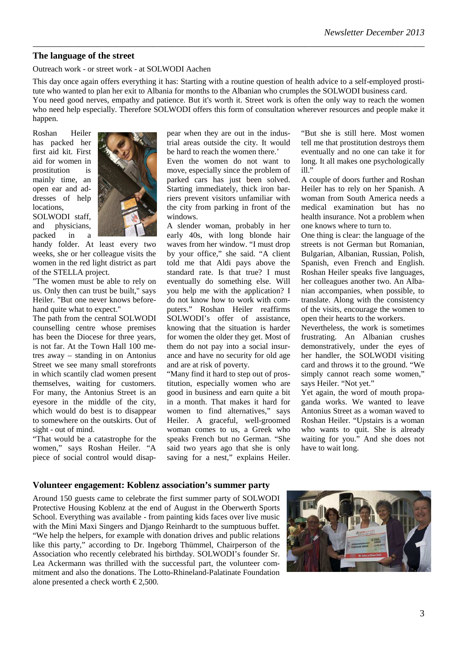# **The language of the street**

Outreach work - or street work - at SOLWODI Aachen

This day once again offers everything it has: Starting with a routine question of health advice to a self-employed prostitute who wanted to plan her exit to Albania for months to the Albanian who crumples the SOLWODI business card.

*\_\_\_\_\_\_\_\_\_\_\_\_\_\_\_\_\_\_\_\_\_\_\_\_\_\_\_\_\_\_\_\_\_\_\_\_\_\_\_\_\_\_\_\_\_\_\_\_\_\_\_\_\_\_\_\_\_\_\_\_\_\_\_\_\_\_\_\_\_\_\_\_\_\_\_\_\_\_\_\_\_\_\_\_\_* 

You need good nerves, empathy and patience. But it's worth it. Street work is often the only way to reach the women who need help especially. Therefore SOLWODI offers this form of consultation wherever resources and people make it happen.

Roshan Heiler has packed her first aid kit. First aid for women in prostitution is mainly time, an open ear and addresses of help locations,

SOLWODI staff, and physicians, packed in a



handy folder. At least every two weeks, she or her colleague visits the women in the red light district as part of the STELLA project.

"The women must be able to rely on us. Only then can trust be built," says Heiler. "But one never knows beforehand quite what to expect."

The path from the central SOLWODI counselling centre whose premises has been the Diocese for three years, is not far. At the Town Hall 100 metres away – standing in on Antonius Street we see many small storefronts in which scantily clad women present themselves, waiting for customers. For many, the Antonius Street is an eyesore in the middle of the city, which would do best is to disappear to somewhere on the outskirts. Out of sight - out of mind.

"That would be a catastrophe for the women," says Roshan Heiler. "A piece of social control would disappear when they are out in the industrial areas outside the city. It would be hard to reach the women there.'

Even the women do not want to move, especially since the problem of parked cars has just been solved. Starting immediately, thick iron barriers prevent visitors unfamiliar with the city from parking in front of the windows.

A slender woman, probably in her early 40s, with long blonde hair waves from her window. "I must drop by your office," she said. "A client told me that Aldi pays above the standard rate. Is that true? I must eventually do something else. Will you help me with the application? I do not know how to work with computers." Roshan Heiler reaffirms SOLWODI's offer of assistance, knowing that the situation is harder for women the older they get. Most of them do not pay into a social insurance and have no security for old age and are at risk of poverty.

"Many find it hard to step out of prostitution, especially women who are good in business and earn quite a bit in a month. That makes it hard for women to find alternatives," says Heiler. A graceful, well-groomed woman comes to us, a Greek who speaks French but no German. "She said two years ago that she is only saving for a nest," explains Heiler.

"But she is still here. Most women tell me that prostitution destroys them eventually and no one can take it for long. It all makes one psychologically ill."

A couple of doors further and Roshan Heiler has to rely on her Spanish. A woman from South America needs a medical examination but has no health insurance. Not a problem when one knows where to turn to.

One thing is clear: the language of the streets is not German but Romanian, Bulgarian, Albanian, Russian, Polish, Spanish, even French and English. Roshan Heiler speaks five languages, her colleagues another two. An Albanian accompanies, when possible, to translate. Along with the consistency of the visits, encourage the women to open their hearts to the workers.

Nevertheless, the work is sometimes frustrating. An Albanian crushes demonstratively, under the eyes of her handler, the SOLWODI visiting card and throws it to the ground. "We simply cannot reach some women," says Heiler. "Not yet."

Yet again, the word of mouth propaganda works. We wanted to leave Antonius Street as a woman waved to Roshan Heiler. "Upstairs is a woman who wants to quit. She is already waiting for you." And she does not have to wait long.

## **Volunteer engagement: Koblenz association's summer party**

Around 150 guests came to celebrate the first summer party of SOLWODI Protective Housing Koblenz at the end of August in the Oberwerth Sports School. Everything was available - from painting kids faces over live music with the Mini Maxi Singers and Django Reinhardt to the sumptuous buffet. "We help the helpers, for example with donation drives and public relations like this party," according to Dr. Ingeborg Thümmel, Chairperson of the Association who recently celebrated his birthday. SOLWODI's founder Sr. Lea Ackermann was thrilled with the successful part, the volunteer commitment and also the donations. The Lotto-Rhineland-Palatinate Foundation alone presented a check worth  $\in$  2,500.